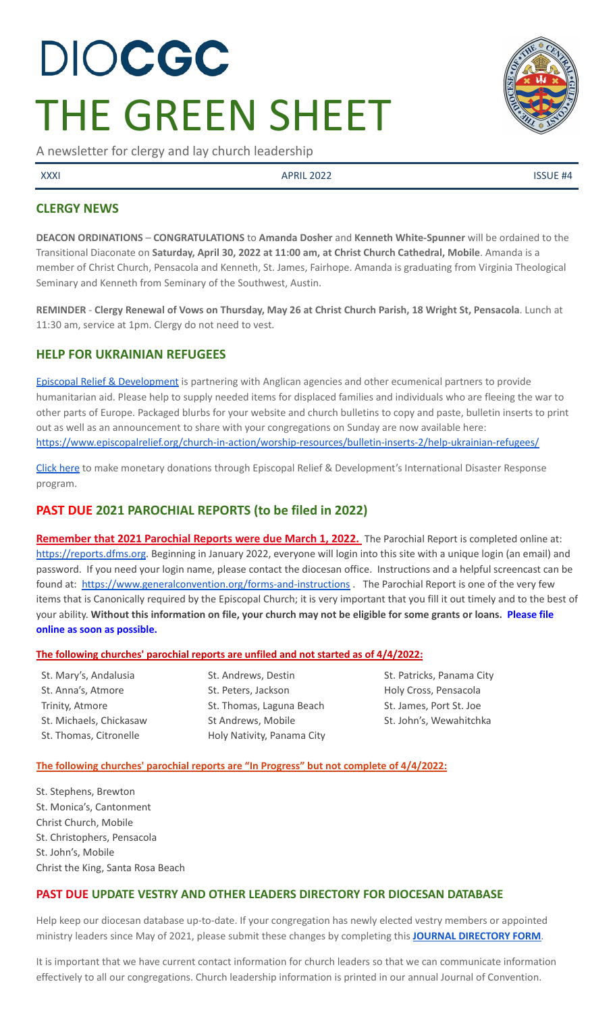# DIOCGC THE GREEN SHEET

A newsletter for clergy and lay church leadership

XXXI APRIL 2022 APRIL 2022

## **CLERGY NEWS**

**DEACON ORDINATIONS** – **CONGRATULATIONS** to **Amanda Dosher** and **Kenneth White-Spunner** will be ordained to the Transitional Diaconate on **Saturday, April 30, 2022 at 11:00 am, at Christ Church Cathedral, Mobile**. Amanda is a member of Christ Church, Pensacola and Kenneth, St. James, Fairhope. Amanda is graduating from Virginia Theological Seminary and Kenneth from Seminary of the Southwest, Austin.

REMINDER - Clergy Renewal of Vows on Thursday, May 26 at Christ Church Parish, 18 Wright St, Pensacola. Lunch at 11:30 am, service at 1pm. Clergy do not need to vest.

## **HELP FOR UKRAINIAN REFUGEES**

Episcopal Relief & [Development](https://www.episcopalrelief.org/) is partnering with Anglican agencies and other ecumenical partners to provide humanitarian aid. Please help to supply needed items for displaced families and individuals who are fleeing the war to other parts of Europe. Packaged blurbs for your website and church bulletins to copy and paste, bulletin inserts to print out as well as an announcement to share with your congregations on Sunday are now available here: <https://www.episcopalrelief.org/church-in-action/worship-resources/bulletin-inserts-2/help-ukrainian-refugees/>

[Click](https://support.episcopalrelief.org/ukraineresponse?ID=220301DWMDS0100&utm_medium=web&utm_campaign=fy22ukraine&utm_source=220301DWMDS0100) here to make monetary donations through Episcopal Relief & Development's International Disaster Response program.

# **PAST DUE 2021 PAROCHIAL REPORTS (to be filed in 2022)**

Remember that 2021 Parochial Reports were due March 1, 2022. The Parochial Report is completed online at: <https://reports.dfms.org>. Beginning in January 2022, everyone will login into this site with a unique login (an email) and password. If you need your login name, please contact the diocesan office. Instructions and a helpful screencast can be found at: <https://www.generalconvention.org/forms-and-instructions> . The Parochial Report is one of the very few items that is Canonically required by the Episcopal Church; it is very important that you fill it out timely and to the best of your ability. Without this information on file, your church may not be eligible for some grants or loans. Please file **online as soon as possible.**

#### **The following churches' parochial reports are unfiled and not started as of 4/4/2022:**

St. Mary's, Andalusia St. Anna's, Atmore Trinity, Atmore St. Michaels, Chickasaw St. Thomas, Citronelle

St. Andrews, Destin St. Peters, Jackson St. Thomas, Laguna Beach St Andrews, Mobile Holy Nativity, Panama City St. Patricks, Panama City Holy Cross, Pensacola St. James, Port St. Joe St. John's, Wewahitchka

#### **The following churches' parochial reports are "In Progress" but not complete of 4/4/2022:**

St. Stephens, Brewton St. Monica's, Cantonment Christ Church, Mobile St. Christophers, Pensacola St. John's, Mobile Christ the King, Santa Rosa Beach

## **PAST DUE UPDATE VESTRY AND OTHER LEADERS DIRECTORY FOR DIOCESAN DATABASE**

Help keep our diocesan database up-to-date. If your congregation has newly elected vestry members or appointed ministry leaders since May of 2021, please submit these changes by completing this **JOURNAL [DIRECTORY](https://www.emailmeform.com/builder/form/eji270wUd6T49) FORM**.

It is important that we have current contact information for church leaders so that we can communicate information effectively to all our congregations. Church leadership information is printed in our annual Journal of Convention.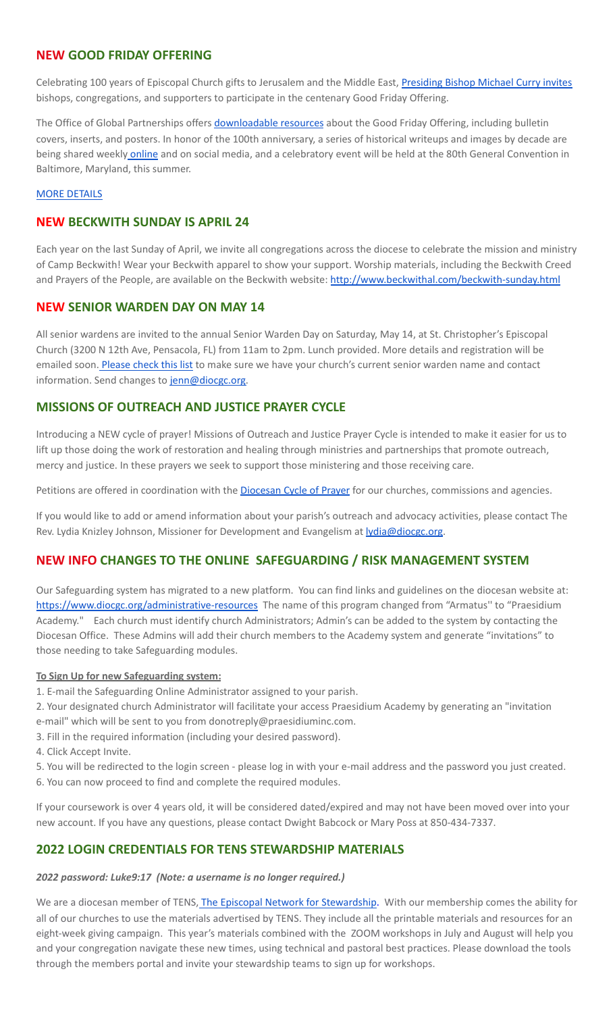## **NEW GOOD FRIDAY OFFERING**

Celebrating 100 years of Episcopal Church gifts to Jerusalem and the Middle East, [Presiding](https://www.episcopalchurch.org/publicaffairs/presiding-bishop-michael-curry-calls-for-100th-anniversary-good-friday-offering/?wkey=bHdlYmJAZXBpc2NvcGFsY2h1cmNoLm9yZw==&foreign_data=mailchimp_campaign_id%3A25dd1ee88a) Bishop Michael Curry invites bishops, congregations, and supporters to participate in the centenary Good Friday Offering.

The Office of Global Partnerships offers [downloadable](https://www.episcopalchurch.org/ministries/global-partnerships/good-friday-offering-resources/) resources about the Good Friday Offering, including bulletin covers, inserts, and posters. In honor of the 100th anniversary, a series of historical writeups and images by decade are being shared weekly [online](https://www.episcopalchurch.org/good-friday-offering/gfo-history/) and on social media, and a celebratory event will be held at the 80th General Convention in Baltimore, Maryland, this summer.

#### MORE [DETAILS](https://www.episcopalchurch.org/good-friday-offering/?mc_cid=25dd1ee88a&mc_eid=UNIQID)

#### **NEW BECKWITH SUNDAY IS APRIL 24**

Each year on the last Sunday of April, we invite all congregations across the diocese to celebrate the mission and ministry of Camp Beckwith! Wear your Beckwith apparel to show your support. Worship materials, including the Beckwith Creed and Prayers of the People, are available on the Beckwith website: <http://www.beckwithal.com/beckwith-sunday.html>

#### **NEW SENIOR WARDEN DAY ON MAY 14**

All senior wardens are invited to the annual Senior Warden Day on Saturday, May 14, at St. Christopher's Episcopal Church (3200 N 12th Ave, Pensacola, FL) from 11am to 2pm. Lunch provided. More details and registration will be emailed soon. [Please](https://docs.google.com/document/d/1sxGGyPkQCNu1qcla70z10yYKdfVyClza-2lteQKwd60/edit?usp=sharing) check this list to make sure we have your church's current senior warden name and contact information. Send changes to [jenn@diocgc.org.](mailto:jenn@diocgc.org)

## **MISSIONS OF OUTREACH AND JUSTICE PRAYER CYCLE**

Introducing a NEW cycle of prayer! Missions of Outreach and Justice Prayer Cycle is intended to make it easier for us to lift up those doing the work of restoration and healing through ministries and partnerships that promote outreach, mercy and justice. In these prayers we seek to support those ministering and those receiving care.

Petitions are offered in coordination with the **[Diocesan](http://www.diocgc.org/cycle-of-prayer) Cycle of Prayer** for our churches, commissions and agencies.

If you would like to add or amend information about your parish's outreach and advocacy activities, please contact The Rev. Lydia Knizley Johnson, Missioner for Development and Evangelism at **lydia@diocgc.org**.

## **NEW INFO CHANGES TO THE ONLINE SAFEGUARDING / RISK MANAGEMENT SYSTEM**

Our Safeguarding system has migrated to a new platform. You can find links and guidelines on the diocesan website at: <https://www.diocgc.org/administrative-resources> The name of this program changed from "Armatus'' to "Praesidium Academy." Each church must identify church Administrators; Admin's can be added to the system by contacting the Diocesan Office. These Admins will add their church members to the Academy system and generate "invitations" to those needing to take Safeguarding modules.

#### **To Sign Up for new Safeguarding system:**

- 1. E-mail the Safeguarding Online Administrator assigned to your parish.
- 2. Your designated church Administrator will facilitate your access Praesidium Academy by generating an "invitation e-mail" which will be sent to you from donotreply@praesidiuminc.com.
- 3. Fill in the required information (including your desired password).
- 4. Click Accept Invite.
- 5. You will be redirected to the login screen please log in with your e-mail address and the password you just created. 6. You can now proceed to find and complete the required modules.

If your coursework is over 4 years old, it will be considered dated/expired and may not have been moved over into your new account. If you have any questions, please contact Dwight Babcock or Mary Poss at 850-434-7337.

## **2022 LOGIN CREDENTIALS FOR TENS STEWARDSHIP MATERIALS**

*2022 password: Luke9:17 (Note: a username is no longer required.)*

We are a diocesan member of TENS, The Episcopal Network for [Stewardship.](https://www.tens.org/) With our membership comes the ability for all of our churches to use the materials advertised by TENS. They include all the printable materials and resources for an eight-week giving campaign. This year's materials combined with the ZOOM workshops in July and August will help you and your congregation navigate these new times, using technical and pastoral best practices. Please download the tools through the members portal and invite your stewardship teams to sign up for workshops.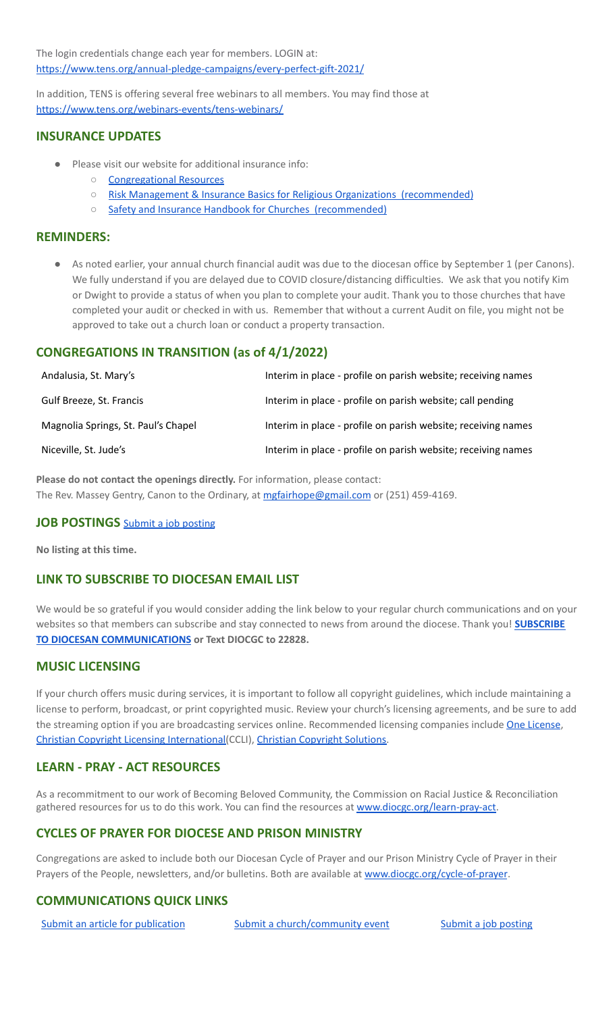The login credentials change each year for members. LOGIN at: <https://www.tens.org/annual-pledge-campaigns/every-perfect-gift-2021/>

In addition, TENS is offering several free webinars to all members. You may find those at <https://www.tens.org/webinars-events/tens-webinars/>

## **INSURANCE UPDATES**

- Please visit our website for additional insurance info:
	- [Congregational](http://www.diocgc.org/congregational-resources) Resources
	- Risk Management & Insurance Basics for Religious Organizations [\(recommended\)](https://2f23db9c-81c0-437f-88c1-0d3b99fdb03d.filesusr.com/ugd/ca270f_0fc945a39bad470191c4075c97602c08.pdf)
	- Safety and Insurance Handbook for Churches [\(recommended\)](https://2f23db9c-81c0-437f-88c1-0d3b99fdb03d.filesusr.com/ugd/4525a9_6b89020a60b040f49e2f7feb44b56873.pdf)

#### **REMINDERS:**

As noted earlier, your annual church financial audit was due to the diocesan office by September 1 (per Canons). We fully understand if you are delayed due to COVID closure/distancing difficulties. We ask that you notify Kim or Dwight to provide a status of when you plan to complete your audit. Thank you to those churches that have completed your audit or checked in with us. Remember that without a current Audit on file, you might not be approved to take out a church loan or conduct a property transaction.

## **CONGREGATIONS IN TRANSITION (as of 4/1/2022)**

| Andalusia, St. Mary's               | Interim in place - profile on parish website; receiving names |
|-------------------------------------|---------------------------------------------------------------|
| Gulf Breeze, St. Francis            | Interim in place - profile on parish website; call pending    |
| Magnolia Springs, St. Paul's Chapel | Interim in place - profile on parish website; receiving names |
| Niceville, St. Jude's               | Interim in place - profile on parish website; receiving names |

**Please do not contact the openings directly.** For information, please contact: The Rev. Massey Gentry, Canon to the Ordinary, at [mgfairhope@gmail.com](mailto:mgfairhope@gmail.com) or (251) 459-4169.

#### **JOB POSTINGS** Submit a job [posting](https://www.emailmeform.com/builder/form/0cZqC653GdH24p01aWQDfUh)

**No listing at this time.**

## **LINK TO SUBSCRIBE TO DIOCESAN EMAIL LIST**

We would be so grateful if you would consider adding the link below to your regular church communications and on your websites so that members can subscribe and stay connected to news from around the diocese. Thank you! **[SUBSCRIBE](https://visitor.r20.constantcontact.com/manage/optin?v=001ytzJgXCdPi7CMeRPYjkgWfph8ra8dQJmJ_jgoEJDuFPyjC3HarXiwlhH4JN80K9kNItCddcGgXt-VrglBC4Vvq3YhpG1ym5vnWRlozzk8WJwXJycFplGhx-zzZ96rxkiXY6YLv6vWkWPagBVarHUDKt3SmSUagqj) TO DIOCESAN [COMMUNICATIONS](https://visitor.r20.constantcontact.com/manage/optin?v=001ytzJgXCdPi7CMeRPYjkgWfph8ra8dQJmJ_jgoEJDuFPyjC3HarXiwlhH4JN80K9kNItCddcGgXt-VrglBC4Vvq3YhpG1ym5vnWRlozzk8WJwXJycFplGhx-zzZ96rxkiXY6YLv6vWkWPagBVarHUDKt3SmSUagqj) or Text DIOCGC to 22828.**

## **MUSIC LICENSING**

If your church offers music during services, it is important to follow all copyright guidelines, which include maintaining a license to perform, broadcast, or print copyrighted music. Review your church's licensing agreements, and be sure to add the streaming option if you are broadcasting services online. Recommended licensing companies include One [License](https://onelicense.net/), Christian Copyright Licensing [International\(](https://us.ccli.com/)CCLI), Christian [Copyright](https://christiancopyrightsolutions.com/) Solutions.

## **LEARN - PRAY - ACT RESOURCES**

As a recommitment to our work of Becoming Beloved Community, the Commission on Racial Justice & Reconciliation gathered resources for us to do this work. You can find the resources at [www.diocgc.org/learn-pray-act.](http://www.diocgcorg/learn-pray-act)

## **CYCLES OF PRAYER FOR DIOCESE AND PRISON MINISTRY**

Congregations are asked to include both our Diocesan Cycle of Prayer and our Prison Ministry Cycle of Prayer in their Prayers of the People, newsletters, and/or bulletins. Both are available at [www.diocgc.org/cycle-of-prayer](http://www.diocgc.org/cycle-of-prayer).

## **COMMUNICATIONS QUICK LINKS**

Submit an article for [publication](http://www.emailmeform.com/builder/form/XqOP984Ae60c8m6ynr) Submit a [church/community](http://www.emailmeform.com/builder/form/eOM4Bb6VTb78y20Wrapf8) event Submit a job [posting](https://www.emailmeform.com/builder/form/0cZqC653GdH24p01aWQDfUh)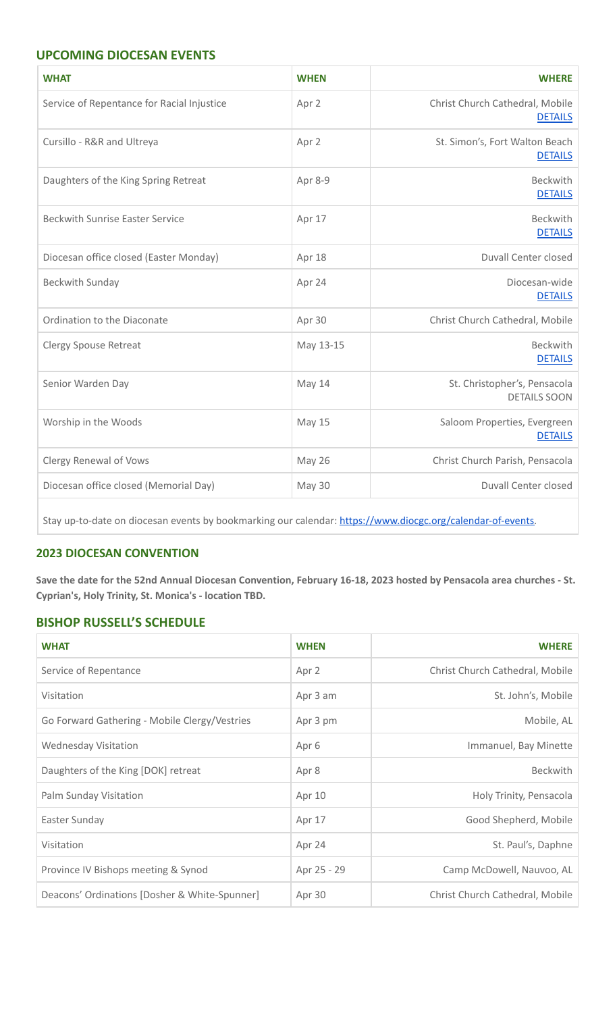## **UPCOMING DIOCESAN EVENTS**

| <b>WHAT</b>                                | <b>WHEN</b> | <b>WHERE</b>                                        |  |
|--------------------------------------------|-------------|-----------------------------------------------------|--|
| Service of Repentance for Racial Injustice | Apr 2       | Christ Church Cathedral, Mobile<br><b>DETAILS</b>   |  |
| Cursillo - R&R and Ultreya                 | Apr 2       | St. Simon's, Fort Walton Beach<br><b>DETAILS</b>    |  |
| Daughters of the King Spring Retreat       | Apr 8-9     | <b>Beckwith</b><br><b>DETAILS</b>                   |  |
| <b>Beckwith Sunrise Easter Service</b>     | Apr 17      | <b>Beckwith</b><br><b>DETAILS</b>                   |  |
| Diocesan office closed (Easter Monday)     | Apr 18      | <b>Duvall Center closed</b>                         |  |
| Beckwith Sunday                            | Apr 24      | Diocesan-wide<br><b>DETAILS</b>                     |  |
| Ordination to the Diaconate                | Apr 30      | Christ Church Cathedral, Mobile                     |  |
| <b>Clergy Spouse Retreat</b>               | May 13-15   | <b>Beckwith</b><br><b>DETAILS</b>                   |  |
| Senior Warden Day                          | May 14      | St. Christopher's, Pensacola<br><b>DETAILS SOON</b> |  |
| Worship in the Woods                       | May 15      | Saloom Properties, Evergreen<br><b>DETAILS</b>      |  |
| Clergy Renewal of Vows                     | May 26      | Christ Church Parish, Pensacola                     |  |
| Diocesan office closed (Memorial Day)      | May 30      | <b>Duvall Center closed</b>                         |  |

Stay up-to-date on diocesan events by bookmarking our calendar: [https://www.diocgc.org/calendar-of-events.](https://www.diocgc.org/calendar-of-events)

## **2023 DIOCESAN CONVENTION**

Save the date for the 52nd Annual Diocesan Convention, February 16-18, 2023 hosted by Pensacola area churches - St. **Cyprian's, Holy Trinity, St. Monica's - location TBD.**

## **BISHOP RUSSELL'S SCHEDULE**

| <b>WHAT</b>                                   | <b>WHEN</b> | <b>WHERE</b>                    |  |
|-----------------------------------------------|-------------|---------------------------------|--|
| Service of Repentance                         | Apr 2       | Christ Church Cathedral, Mobile |  |
| Visitation                                    | Apr 3 am    | St. John's, Mobile              |  |
| Go Forward Gathering - Mobile Clergy/Vestries | Apr 3 pm    | Mobile, AL                      |  |
| <b>Wednesday Visitation</b>                   | Apr 6       | Immanuel, Bay Minette           |  |
| Daughters of the King [DOK] retreat           | Apr 8       | Beckwith                        |  |
| Palm Sunday Visitation                        | Apr 10      | Holy Trinity, Pensacola         |  |
| Easter Sunday                                 | Apr 17      | Good Shepherd, Mobile           |  |
| Visitation                                    | Apr 24      | St. Paul's, Daphne              |  |
| Province IV Bishops meeting & Synod           | Apr 25 - 29 | Camp McDowell, Nauvoo, AL       |  |
| Deacons' Ordinations [Dosher & White-Spunner] | Apr 30      | Christ Church Cathedral, Mobile |  |